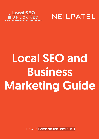



## Local SEO and Business Marketing Guide

How To Dominate The Local SERPs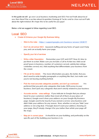In this guide we will go over Local business marketing and SEO. First we'll talk about loc al seo, then there'll be a section about Acquisition Strategy & Tactics and to close out we'll talk about the right mindset. W e hope this to be useful for you guys!

Below a list we suggest to follow regarding Local SEO.

## Local SEO

- Create & Enhance your Google My Business listing
	- Stick to the rules : https:/ / support.google.c om/ business/ answer/ 3038177
	- Don't do old school SEO : keyword stuffing and any forms of spam won't help you, and can actually harm your page.
	- Specify your list of services
	- Write a killer Description : Remember your USP and UVP? Now it's time to put them to action. Make sure you include a Call to Action too. Add social proof (years in business, number of customers served, satisfac tion ratings, c elebrities served, etc). Add anything that differentiates your business from the crowd.
	- $\circ$  Fill out all the details  $\cdot$ : The more information you give, the better. But you don't need to write lengthy paragraphs or anything like that. Just make sure you're not leaving anything behind.
	- Pick the most accurate categories possible, and don't go overboard . It is preferred that you pick only categories that make 100% sense to your business. Don't pick any c ategories that aren't stric tly related to your business
	- Accurate service -area settings. If you indicate to Google that you always travel to your customers (rather than meet all of them at your place of business), Google won't show your address on your Google My B usiness page. Google used to be touc hy if you owned a servic e-area business and didn't hide your address for any reason. N ow, whether or not you "hide" your address is not a big deal. If Google doesn't want your address showing on your page, they'll simply change it for you (rather than whisk your page off the map).
	- Map pin in correct place It should be on your building, and preferably on the spec ific part of the building your business is in.

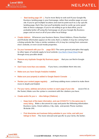

- Best landing page UR L. You're more likely to rank well if your Google My B usiness landing page is your homepage, rather than another page on your site. If you've got multiple locations and want to point each to a city-specific landing page, that's fine, but you'll probably need to rustle up some good links to those subpages. If you're not willing to go to that effort, you're probably better off using the homepage on all your Google My B usiness pages and on most or all of your other loc al listings
- Create citations . W henever your business Name, Street Address, Phone Number and W ebsite information appear on the web, that's a citation. It may be coming from a listing website like Yelp or similar variations of it, it may be coming from someone else's website, or even soc ial media properties.
- Do your homework with your On -page SEO: The same general principles that apply to other types of website apply to local website. Use Neil's Cheat Sheet to go through every possible detail.
- Remove any duplicate Google My Business pages that you can find in Google Maps.
- Don't have more than one website. If you have, consolidate them into one.
- Make sure you have Google Analytics installed.
- Make sure your property is added to Google Search Console
- Review your content pages regularly , and keep adding more content to make them more in-depth and helpful
- Put your name, address and phone number on each page of your site (even if it's in the footer). Make sure the syntax is c onsistent with the c itations you have.
- Create and/or fix your o nline listings (Citations) :
	- Keep track of the basic information, and use it EXACTLY in the same way in every listing. Make a document to copy and paste the following information: B usiness name, S treet address, City, state, and postal, Phone number, W ebsite URL
	- Find directories and business listing websites in your niche, and add your listings to them . The more relevant and specific to your niche, the better.

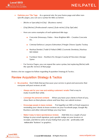

- Optimize your Title Tags : As a general rule, for your home page and other nonspecific pages, you can use a syntax for titles as below:
	- [N iche or S pec ialty] in [City] [B usiness name]
	- [City] [N iche] | [Professional's name] | [Sub-nic he] | [City ZipCode]
	- Here are some examples of well optimized title tags:
		- Concrete Driveways, Patios New Brighton MN Creative Concrete Inc.
		- Criminal Defence Lawyers Edmonton | Pringle Chivers Sparks Teskey
		- Nashua Dentist | Todd G Pollack DMD | Cosmetic Dentistry | Nashua NH 03064
		- Furniture Store Northern NJ, Bergen County & Princeton | Design Spree
	- $\circ$  For Service Pages, you can repeat the same syntax, but replacing [Niche] with the specific Service of that page

B elow a list we suggest to follow regarding Acquisition Strategy & Tac tics.

## Review Acquisition Strategy & Tactics

- Be proactive: Don't think that just because your service is great and awesome that everyone will post reviews at will.
	- Always ask for your new and existing customers' emails: Find a way to make it worth their while.
	- $\circ$  Leverage the personal contacts  $\cdot$ : W hen you have your clients in front of you, show them on their phones where and how they can submit reviews
	- **Encourage people to leave reviews** : Put together an SMS or Email sequence reminding your clients to leave reviews on your Facebook page, Google My B usiness and other relevant listings you may have.
	- Make it easy to leave spontaneous reviews : Add links to a couple of your listings to your email signature, put a gentle nudge on your invoices or rec eipts, and link to some of your listing from your site - preferably with notice able "buttons" or graphic s.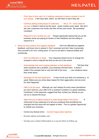



- $\circ$  From time to time, ask 4 or 5 existing customers to leave a review in one of your listings : a few days later, follow up with them to see if they did.
- $\circ$  Continue asking small groups of customers  $-$  like 2-10 every week for revi ews: It doesn't need to be the exact -same number every week. But don't ask zero customers one month and then 40 the next month. Be somewhat consistent.
- Respond to any reviews you can . People appreciate seeing that you as the business owner are paying at tention to their feedback and are willing to respond to it.
- Welcome both positive and negative feedback : Don't be offended by negative feedback, and know how to answer it. Don't overreact and don't take it personally. Give yourself a 24-hour cooling perio d if you're not able to respond politely and courteously.
	- Don't be defensive or angry : Your response should not try to change the reviewer's mind or dispute the facts as set out in the review.
	- Acknowledge that you're paying attention to their feedback: Tell them that when someone has a problem, your business will hear them. It doesn't matter if the reviewer lied or only told half of the story  $-$  own whatever issue they wrote about.
	- $\circ$  Apologize for the bad experience  $\therefore$  It may not be your fault, but someone g ot upset. Make sure you show deep respect for their aggravation and are sorry for what happened.
	- Offer to fix the issue : Although you can't always fix every issue (sometimes you don't want to), your offer to fix a reviewer's problem is a great marketing investment. In the response, suggest that they contact you directly so you can try to resolve the issue.
	- State that you're taking measure to make things better in the future : A critical part of any response is to tell your prospects that something has changed and this issue will not happen to them. This is a golden opportunity to market your business.
	- Correct any factual errors but don't argue about opinions
	- Remain utterly and totally cool
	- Include your contact information or a way for them to follow up